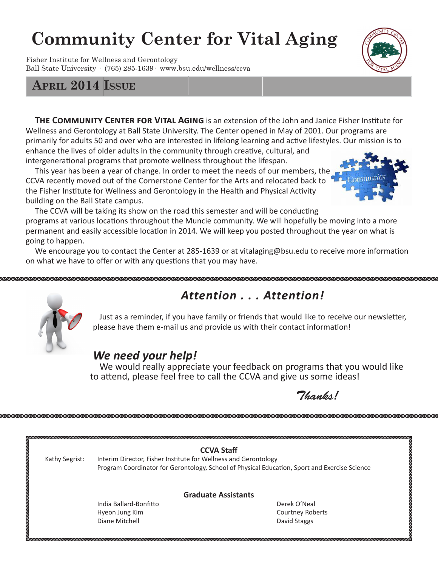# **Community Center for Vital Aging**

Fisher Institute for Wellness and Gerontology Ball State University · (765) 285-1639· www.bsu.edu/wellness/ccva

**THE COMMUNITY CENTER FOR VITAL AGING** is an extension of the John and Janice Fisher Institute for Wellness and Gerontology at Ball State University. The Center opened in May of 2001. Our programs are primarily for adults 50 and over who are interested in lifelong learning and active lifestyles. Our mission is to enhance the lives of older adults in the community through creative, cultural, and intergenerational programs that promote wellness throughout the lifespan.

 This year has been a year of change. In order to meet the needs of our members, the CCVA recently moved out of the Cornerstone Center for the Arts and relocated back to the Fisher Institute for Wellness and Gerontology in the Health and Physical Activity building on the Ball State campus.

 The CCVA will be taking its show on the road this semester and will be conducting programs at various locations throughout the Muncie community. We will hopefully be moving into a more permanent and easily accessible location in 2014. We will keep you posted throughout the year on what is going to happen.

 We encourage you to contact the Center at 285-1639 or at vitalaging@bsu.edu to receive more information on what we have to offer or with any questions that you may have.

## *Attention . . . Attention!*

 Just as a reminder, if you have family or friends that would like to receive our newsletter, please have them e-mail us and provide us with their contact information!

### *We need your help!*

 We would really appreciate your feedback on programs that you would like to attend, please feel free to call the CCVA and give us some ideas! 

XXXXXXXXXXXXXXXXXXXXXXXXXX

 $\sqrt{\frac{2}{n}}$ 

|                |                                                                                               | <b>CCVA Staff</b>          |
|----------------|-----------------------------------------------------------------------------------------------|----------------------------|
| Kathy Segrist: | Interim Director, Fisher Institute for Wellness and Gerontology                               |                            |
|                | Program Coordinator for Gerontology, School of Physical Education, Sport and Exercise Science |                            |
|                |                                                                                               | <b>Graduate Assistants</b> |
|                | India Ballard-Bonfitto                                                                        | Derek O'Neal               |
|                | Hyeon Jung Kim                                                                                | Courtney Roberts           |
|                | Diane Mitchell                                                                                | David Staggs               |







**April 2014 Issue**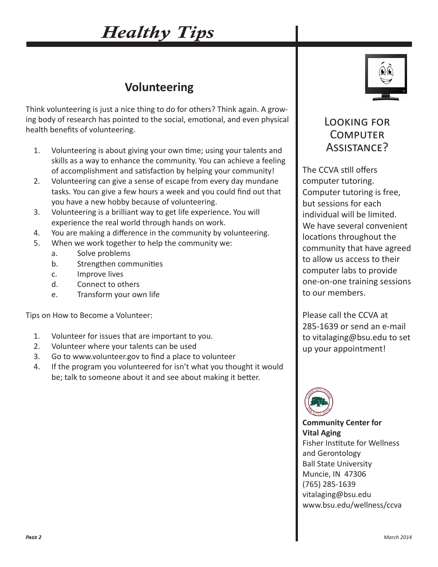# *Healthy Tips*

## **Volunteering**

Think volunteering is just a nice thing to do for others? Think again. A growing body of research has pointed to the social, emotional, and even physical health benefits of volunteering.

- 1. Volunteering is about giving your own time; using your talents and skills as a way to enhance the community. You can achieve a feeling of accomplishment and satisfaction by helping your community!
- 2. Volunteering can give a sense of escape from every day mundane tasks. You can give a few hours a week and you could find out that you have a new hobby because of volunteering.
- 3. Volunteering is a brilliant way to get life experience. You will experience the real world through hands on work.
- 4. You are making a difference in the community by volunteering.
- 5. When we work together to help the community we:
	- a. Solve problems
	- b. Strengthen communities
	- c. Improve lives
	- d. Connect to others
	- e. Transform your own life

Tips on How to Become a Volunteer:

- 1. Volunteer for issues that are important to you.
- 2. Volunteer where your talents can be used
- 3. Go to www.volunteer.gov to find a place to volunteer
- 4. If the program you volunteered for isn't what you thought it would be; talk to someone about it and see about making it better.



### Looking for **COMPUTER** Assistance?

The CCVA still offers computer tutoring. Computer tutoring is free, but sessions for each individual will be limited. We have several convenient locations throughout the community that have agreed to allow us access to their computer labs to provide one-on-one training sessions to our members.

Please call the CCVA at 285-1639 or send an e-mail to vitalaging@bsu.edu to set up your appointment!



**Community Center for Vital Aging** Fisher Institute for Wellness and Gerontology Ball State University Muncie, IN 47306 (765) 285-1639 vitalaging@bsu.edu www.bsu.edu/wellness/ccva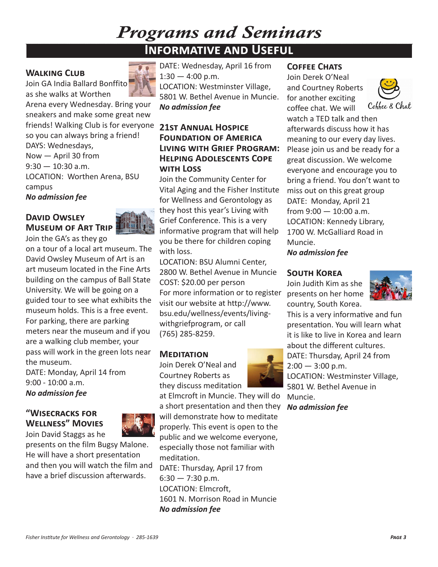## *Programs and Seminars* **Informative and Useful**

#### **Walking Club**

Join GA India Ballard Bonffito as she walks at Worthen



Arena every Wednesday. Bring your sneakers and make some great new friends! Walking Club is for everyone so you can always bring a friend! DAYS: Wednesdays,

Now — April 30 from  $9:30 - 10:30$  a.m. LOCATION: Worthen Arena, BSU campus *No admission fee*

#### **David Owsley Museum of Art Trip**



Join the GA's as they go on a tour of a local art museum. The David Owsley Museum of Art is an art museum located in the Fine Arts building on the campus of Ball State University. We will be going on a guided tour to see what exhibits the museum holds. This is a free event. For parking, there are parking meters near the museum and if you are a walking club member, your pass will work in the green lots near the museum.

DATE: Monday, April 14 from 9:00 - 10:00 a.m. *No admission fee*

#### **"Wisecracks for Wellness" Movies** Join David Staggs as he



presents on the film Bugsy Malone. He will have a short presentation and then you will watch the film and have a brief discussion afterwards.

DATE: Wednesday, April 16 from  $1:30 - 4:00$  p.m. LOCATION: Westminster Village, 5801 W. Bethel Avenue in Muncie. *No admission fee*

#### **21st Annual Hospice Foundation of America Living with Grief Program: Helping Adolescents Cope with Loss**

Join the Community Center for Vital Aging and the Fisher Institute for Wellness and Gerontology as they host this year's Living with Grief Conference. This is a very informative program that will help you be there for children coping with loss.

LOCATION: BSU Alumni Center, 2800 W. Bethel Avenue in Muncie COST: \$20.00 per person For more information or to register visit our website at http://www. bsu.edu/wellness/events/livingwithgriefprogram, or call (765) 285-8259.

#### **Meditation**

Join Derek O'Neal and Courtney Roberts as they discuss meditation

at Elmcroft in Muncie. They will do a short presentation and then they will demonstrate how to meditate properly. This event is open to the public and we welcome everyone, especially those not familiar with meditation. DATE: Thursday, April 17 from  $6:30 - 7:30$  p.m.

LOCATION: Elmcroft, 1601 N. Morrison Road in Muncie *No admission fee*

#### **COFFEE CHATS**

Join Derek O'Neal and Courtney Roberts for another exciting coffee chat. We will



watch a TED talk and then afterwards discuss how it has meaning to our every day lives. Please join us and be ready for a great discussion. We welcome everyone and encourage you to bring a friend. You don't want to miss out on this great group DATE: Monday, April 21 from 9:00 — 10:00 a.m. LOCATION: Kennedy Library, 1700 W. McGalliard Road in Muncie.

*No admission fee*

#### **South Korea**

Join Judith Kim as she presents on her home country, South Korea.



This is a very informative and fun presentation. You will learn what it is like to live in Korea and learn about the different cultures.

DATE: Thursday, April 24 from  $2:00 - 3:00$  p.m.

LOCATION: Westminster Village, 5801 W. Bethel Avenue in Muncie.

*No admission fee*